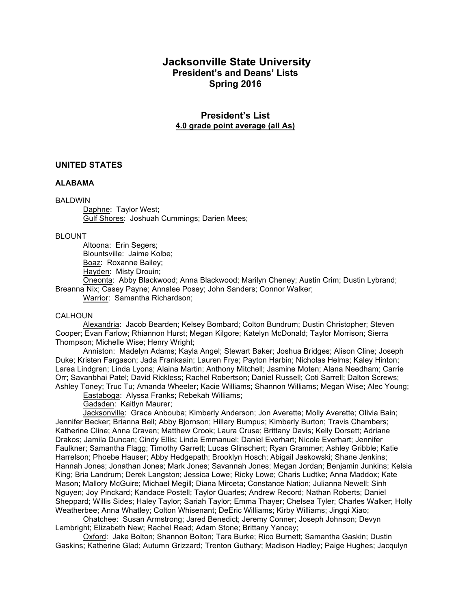# **Jacksonville State University President's and Deans' Lists Spring 2016**

# **President's List 4.0 grade point average (all As)**

# **UNITED STATES**

#### **ALABAMA**

### BALDWIN

Daphne: Taylor West; Gulf Shores: Joshuah Cummings; Darien Mees;

#### BLOUNT

Altoona: Erin Segers; Blountsville: Jaime Kolbe; Boaz: Roxanne Bailey; Hayden: Misty Drouin;

Oneonta: Abby Blackwood; Anna Blackwood; Marilyn Cheney; Austin Crim; Dustin Lybrand; Breanna Nix; Casey Payne; Annalee Posey; John Sanders; Connor Walker;

Warrior: Samantha Richardson;

#### CALHOUN

Alexandria: Jacob Bearden; Kelsey Bombard; Colton Bundrum; Dustin Christopher; Steven Cooper; Evan Farlow; Rhiannon Hurst; Megan Kilgore; Katelyn McDonald; Taylor Morrison; Sierra Thompson; Michelle Wise; Henry Wright;

Anniston: Madelyn Adams; Kayla Angel; Stewart Baker; Joshua Bridges; Alison Cline; Joseph Duke; Kristen Fargason; Jada Franksain; Lauren Frye; Payton Harbin; Nicholas Helms; Kaley Hinton; Larea Lindgren; Linda Lyons; Alaina Martin; Anthony Mitchell; Jasmine Moten; Alana Needham; Carrie Orr; Savanbhai Patel; David Rickless; Rachel Robertson; Daniel Russell; Coti Sarrell; Dalton Screws; Ashley Toney; Truc Tu; Amanda Wheeler; Kacie Williams; Shannon Williams; Megan Wise; Alec Young;

Eastaboga: Alyssa Franks; Rebekah Williams;

Gadsden: Kaitlyn Maurer;

Jacksonville: Grace Anbouba; Kimberly Anderson; Jon Averette; Molly Averette; Olivia Bain; Jennifer Becker; Brianna Bell; Abby Bjornson; Hillary Bumpus; Kimberly Burton; Travis Chambers; Katherine Cline; Anna Craven; Matthew Crook; Laura Cruse; Brittany Davis; Kelly Dorsett; Adriane Drakos; Jamila Duncan; Cindy Ellis; Linda Emmanuel; Daniel Everhart; Nicole Everhart; Jennifer Faulkner; Samantha Flagg; Timothy Garrett; Lucas Glinschert; Ryan Grammer; Ashley Gribble; Katie Harrelson; Phoebe Hauser; Abby Hedgepath; Brooklyn Hosch; Abigail Jaskowski; Shane Jenkins; Hannah Jones; Jonathan Jones; Mark Jones; Savannah Jones; Megan Jordan; Benjamin Junkins; Kelsia King; Bria Landrum; Derek Langston; Jessica Lowe; Ricky Lowe; Charis Ludtke; Anna Maddox; Kate Mason; Mallory McGuire; Michael Megill; Diana Mirceta; Constance Nation; Julianna Newell; Sinh Nguyen; Joy Pinckard; Kandace Postell; Taylor Quarles; Andrew Record; Nathan Roberts; Daniel Sheppard; Willis Sides; Haley Taylor; Sariah Taylor; Emma Thayer; Chelsea Tyler; Charles Walker; Holly Weatherbee; Anna Whatley; Colton Whisenant; DeEric Williams; Kirby Williams; Jingqi Xiao;

Ohatchee: Susan Armstrong; Jared Benedict; Jeremy Conner; Joseph Johnson; Devyn Lambright; Elizabeth New; Rachel Read; Adam Stone; Brittany Yancey;

Oxford: Jake Bolton; Shannon Bolton; Tara Burke; Rico Burnett; Samantha Gaskin; Dustin Gaskins; Katherine Glad; Autumn Grizzard; Trenton Guthary; Madison Hadley; Paige Hughes; Jacqulyn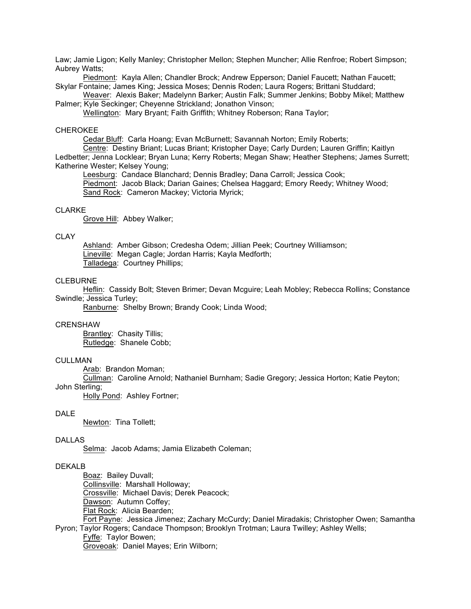Law; Jamie Ligon; Kelly Manley; Christopher Mellon; Stephen Muncher; Allie Renfroe; Robert Simpson; Aubrey Watts;

Piedmont: Kayla Allen; Chandler Brock; Andrew Epperson; Daniel Faucett; Nathan Faucett; Skylar Fontaine; James King; Jessica Moses; Dennis Roden; Laura Rogers; Brittani Studdard;

Weaver: Alexis Baker; Madelynn Barker; Austin Falk; Summer Jenkins; Bobby Mikel; Matthew Palmer; Kyle Seckinger; Cheyenne Strickland; Jonathon Vinson;

Wellington: Mary Bryant; Faith Griffith; Whitney Roberson; Rana Taylor;

### CHEROKEE

Cedar Bluff: Carla Hoang; Evan McBurnett; Savannah Norton; Emily Roberts;

Centre: Destiny Briant; Lucas Briant; Kristopher Daye; Carly Durden; Lauren Griffin; Kaitlyn Ledbetter; Jenna Locklear; Bryan Luna; Kerry Roberts; Megan Shaw; Heather Stephens; James Surrett; Katherine Wester; Kelsey Young;

Leesburg: Candace Blanchard; Dennis Bradley; Dana Carroll; Jessica Cook; Piedmont: Jacob Black; Darian Gaines; Chelsea Haggard; Emory Reedy; Whitney Wood; Sand Rock: Cameron Mackey; Victoria Myrick;

#### CLARKE

Grove Hill: Abbey Walker;

### **CLAY**

Ashland: Amber Gibson; Credesha Odem; Jillian Peek; Courtney Williamson; Lineville: Megan Cagle; Jordan Harris; Kayla Medforth; Talladega: Courtney Phillips:

# **CLEBURNE**

Heflin: Cassidy Bolt; Steven Brimer; Devan Mcguire; Leah Mobley; Rebecca Rollins; Constance Swindle; Jessica Turley;

Ranburne: Shelby Brown; Brandy Cook; Linda Wood;

#### CRENSHAW

Brantley: Chasity Tillis; Rutledge: Shanele Cobb;

# CULLMAN.

Arab: Brandon Moman;

Cullman: Caroline Arnold; Nathaniel Burnham; Sadie Gregory; Jessica Horton; Katie Peyton;

John Sterling;

Holly Pond: Ashley Fortner;

#### DALE

Newton: Tina Tollett;

### DALLAS

Selma: Jacob Adams; Jamia Elizabeth Coleman;

#### DEKALB

Boaz: Bailey Duvall: Collinsville: Marshall Holloway; Crossville: Michael Davis; Derek Peacock; Dawson: Autumn Coffey; Flat Rock: Alicia Bearden; Fort Payne: Jessica Jimenez; Zachary McCurdy; Daniel Miradakis; Christopher Owen; Samantha Pyron; Taylor Rogers; Candace Thompson; Brooklyn Trotman; Laura Twilley; Ashley Wells; Fyffe: Taylor Bowen;

Groveoak: Daniel Mayes; Erin Wilborn;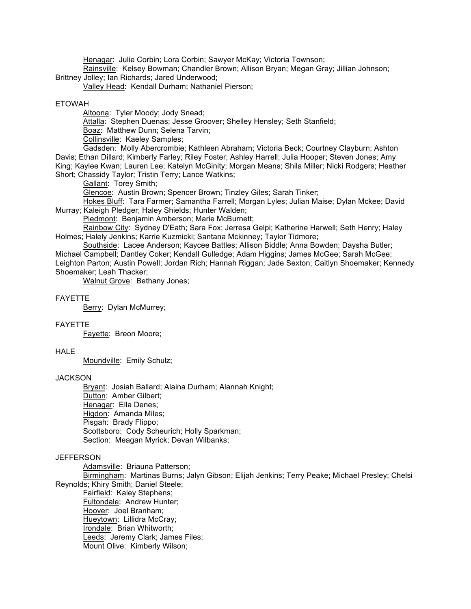Henagar: Julie Corbin; Lora Corbin; Sawyer McKay; Victoria Townson;

Rainsville: Kelsey Bowman; Chandler Brown; Allison Bryan; Megan Gray; Jillian Johnson; Brittney Jolley; Ian Richards; Jared Underwood;

Valley Head: Kendall Durham; Nathaniel Pierson;

#### ETOWAH

Altoona: Tyler Moody; Jody Snead;

Attalla: Stephen Duenas; Jesse Groover; Shelley Hensley; Seth Stanfield;

Boaz: Matthew Dunn; Selena Tarvin;

Collinsville: Kaeley Samples;

Gadsden: Molly Abercrombie; Kathleen Abraham; Victoria Beck; Courtney Clayburn; Ashton Davis; Ethan Dillard; Kimberly Farley; Riley Foster; Ashley Harrell; Julia Hooper; Steven Jones; Amy King; Kaylee Kwan; Lauren Lee; Katelyn McGinity; Morgan Means; Shila Miller; Nicki Rodgers; Heather Short; Chassidy Taylor; Tristin Terry; Lance Watkins;

Gallant: Torey Smith;

Glencoe: Austin Brown; Spencer Brown; Tinzley Giles; Sarah Tinker;

Hokes Bluff: Tara Farmer; Samantha Farrell; Morgan Lyles; Julian Maise; Dylan Mckee; David Murray; Kaleigh Pledger; Haley Shields; Hunter Walden;

Piedmont: Benjamin Amberson; Marie McBurnett;

Rainbow City: Sydney D'Eath; Sara Fox; Jerresa Gelpi; Katherine Harwell; Seth Henry; Haley Holmes; Halely Jenkins; Karrie Kuzmicki; Santana Mckinney; Taylor Tidmore;

Southside: Lacee Anderson; Kaycee Battles; Allison Biddle; Anna Bowden; Daysha Butler; Michael Campbell; Dantley Coker; Kendall Gulledge; Adam Higgins; James McGee; Sarah McGee; Leighton Parton; Austin Powell; Jordan Rich; Hannah Riggan; Jade Sexton; Caitlyn Shoemaker; Kennedy Shoemaker; Leah Thacker;

Walnut Grove: Bethany Jones;

#### FAYETTE

Berry: Dylan McMurrey;

#### FAYETTE

Fayette: Breon Moore;

#### **HALE**

Moundville: Emily Schulz;

### **JACKSON**

Bryant: Josiah Ballard; Alaina Durham; Alannah Knight; Dutton: Amber Gilbert; Henagar: Ella Denes; Higdon: Amanda Miles; Pisgah: Brady Flippo; Scottsboro: Cody Scheurich; Holly Sparkman; Section: Meagan Myrick; Devan Wilbanks;

#### **JEFFERSON**

Adamsville: Briauna Patterson;

Birmingham: Martinas Burns; Jalyn Gibson; Elijah Jenkins; Terry Peake; Michael Presley; Chelsi Reynolds; Khiry Smith; Daniel Steele;

Fairfield: Kaley Stephens; Fultondale: Andrew Hunter; Hoover: Joel Branham; Hueytown: Lillidra McCray; Irondale: Brian Whitworth; Leeds: Jeremy Clark; James Files; Mount Olive: Kimberly Wilson;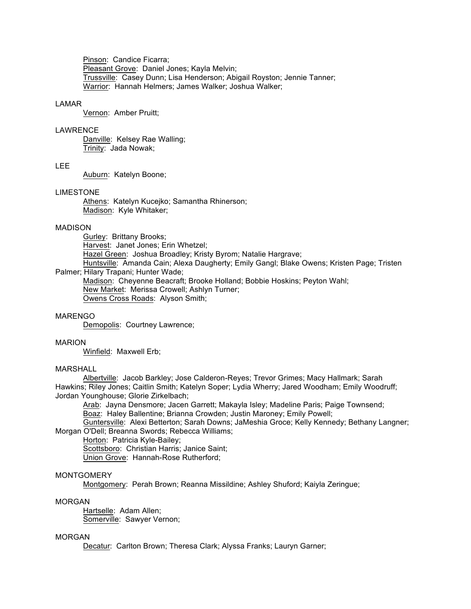Pinson: Candice Ficarra; Pleasant Grove: Daniel Jones; Kayla Melvin; Trussville: Casey Dunn; Lisa Henderson; Abigail Royston; Jennie Tanner; Warrior: Hannah Helmers; James Walker; Joshua Walker;

#### LAMAR

Vernon: Amber Pruitt;

### LAWRENCE

Danville: Kelsey Rae Walling; Trinity: Jada Nowak;

### LEE

Auburn: Katelyn Boone;

### LIMESTONE

Athens: Katelyn Kucejko; Samantha Rhinerson; Madison: Kyle Whitaker;

### MADISON

Gurley: Brittany Brooks; Harvest: Janet Jones; Erin Whetzel; Hazel Green: Joshua Broadley; Kristy Byrom; Natalie Hargrave; Huntsville: Amanda Cain; Alexa Daugherty; Emily Gangl; Blake Owens; Kristen Page; Tristen Palmer; Hilary Trapani; Hunter Wade; Madison: Cheyenne Beacraft; Brooke Holland; Bobbie Hoskins; Peyton Wahl;

New Market: Merissa Crowell; Ashlyn Turner; Owens Cross Roads: Alyson Smith;

### MARENGO

Demopolis: Courtney Lawrence;

### MARION

Winfield: Maxwell Erb;

# MARSHALL

Albertville: Jacob Barkley; Jose Calderon-Reyes; Trevor Grimes; Macy Hallmark; Sarah Hawkins; Riley Jones; Caitlin Smith; Katelyn Soper; Lydia Wherry; Jared Woodham; Emily Woodruff; Jordan Younghouse; Glorie Zirkelbach;

Arab: Jayna Densmore; Jacen Garrett; Makayla Isley; Madeline Paris; Paige Townsend;

Boaz: Haley Ballentine; Brianna Crowden; Justin Maroney; Emily Powell;

Guntersville: Alexi Betterton; Sarah Downs; JaMeshia Groce; Kelly Kennedy; Bethany Langner; Morgan O'Dell; Breanna Swords; Rebecca Williams;

Horton: Patricia Kyle-Bailey;

Scottsboro: Christian Harris; Janice Saint;

Union Grove: Hannah-Rose Rutherford;

### MONTGOMERY

Montgomery: Perah Brown; Reanna Missildine; Ashley Shuford; Kaiyla Zeringue;

#### MORGAN

Hartselle: Adam Allen; Somerville: Sawyer Vernon;

# MORGAN

Decatur: Carlton Brown; Theresa Clark; Alyssa Franks; Lauryn Garner;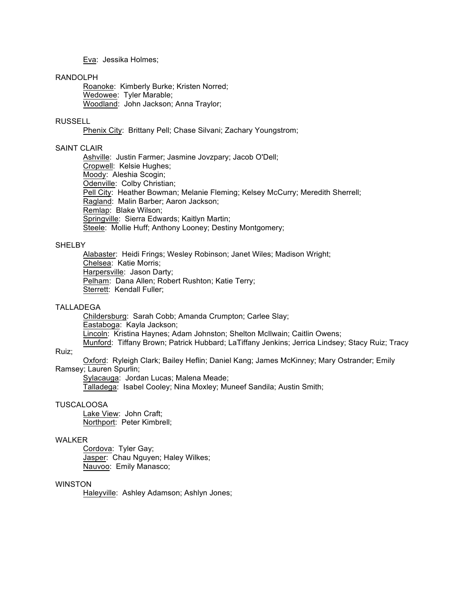Eva: Jessika Holmes;

#### RANDOLPH

Roanoke: Kimberly Burke; Kristen Norred; Wedowee: Tyler Marable; Woodland: John Jackson; Anna Traylor;

# RUSSELL

Phenix City: Brittany Pell; Chase Silvani; Zachary Youngstrom;

# SAINT CLAIR

Ashville: Justin Farmer; Jasmine Jovzpary; Jacob O'Dell; Cropwell: Kelsie Hughes; Moody: Aleshia Scogin; Odenville: Colby Christian; Pell City: Heather Bowman; Melanie Fleming; Kelsey McCurry; Meredith Sherrell; Ragland: Malin Barber; Aaron Jackson; Remlap: Blake Wilson; Springville: Sierra Edwards; Kaitlyn Martin; Steele: Mollie Huff; Anthony Looney; Destiny Montgomery;

### **SHELBY**

Alabaster: Heidi Frings; Wesley Robinson; Janet Wiles; Madison Wright; Chelsea: Katie Morris; Harpersville: Jason Darty; Pelham: Dana Allen; Robert Rushton; Katie Terry; Sterrett: Kendall Fuller;

#### TALLADEGA

Childersburg: Sarah Cobb; Amanda Crumpton; Carlee Slay; Eastaboga: Kayla Jackson; Lincoln: Kristina Haynes; Adam Johnston; Shelton McIlwain; Caitlin Owens; Munford: Tiffany Brown; Patrick Hubbard; LaTiffany Jenkins; Jerrica Lindsey; Stacy Ruiz; Tracy

# Ruiz;

Oxford: Ryleigh Clark; Bailey Heflin; Daniel Kang; James McKinney; Mary Ostrander; Emily Ramsey; Lauren Spurlin;

Sylacauga: Jordan Lucas; Malena Meade;

Talladega: Isabel Cooley; Nina Moxley; Muneef Sandila; Austin Smith;

### TUSCALOOSA

Lake View: John Craft; Northport: Peter Kimbrell;

### WALKER

Cordova: Tyler Gay; Jasper: Chau Nguyen; Haley Wilkes; Nauvoo: Emily Manasco;

### **WINSTON**

Haleyville: Ashley Adamson; Ashlyn Jones;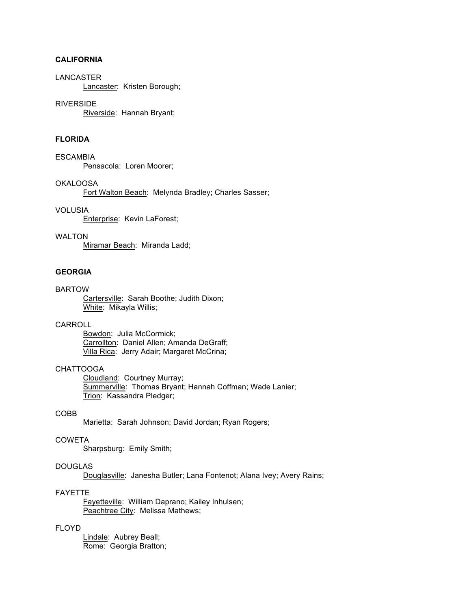# **CALIFORNIA**

#### LANCASTER

Lancaster: Kristen Borough;

#### RIVERSIDE

Riverside: Hannah Bryant;

# **FLORIDA**

**ESCAMBIA** Pensacola: Loren Moorer;

#### OKALOOSA

Fort Walton Beach: Melynda Bradley; Charles Sasser;

# VOLUSIA

Enterprise: Kevin LaForest;

# WALTON

Miramar Beach: Miranda Ladd;

# **GEORGIA**

### BARTOW

Cartersville: Sarah Boothe; Judith Dixon; White: Mikayla Willis;

#### **CARROLL**

Bowdon: Julia McCormick; Carrollton: Daniel Allen; Amanda DeGraff; Villa Rica: Jerry Adair; Margaret McCrina;

# CHATTOOGA

Cloudland: Courtney Murray; Summerville: Thomas Bryant; Hannah Coffman; Wade Lanier; Trion: Kassandra Pledger;

# COBB

Marietta: Sarah Johnson; David Jordan; Ryan Rogers;

# COWETA

Sharpsburg: Emily Smith;

# DOUGLAS

Douglasville: Janesha Butler; Lana Fontenot; Alana Ivey; Avery Rains;

# FAYETTE

Fayetteville: William Daprano; Kailey Inhulsen; Peachtree City: Melissa Mathews;

# FLOYD

Lindale: Aubrey Beall; Rome: Georgia Bratton;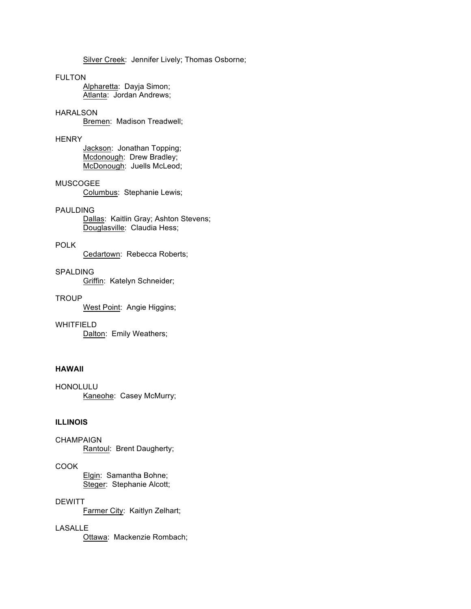Silver Creek: Jennifer Lively; Thomas Osborne;

# FULTON

Alpharetta: Dayja Simon; Atlanta: Jordan Andrews;

# HARALSON

Bremen: Madison Treadwell;

# **HENRY**

Jackson: Jonathan Topping; Mcdonough: Drew Bradley; McDonough: Juells McLeod;

# MUSCOGEE

Columbus: Stephanie Lewis;

# PAULDING

Dallas: Kaitlin Gray; Ashton Stevens; Douglasville: Claudia Hess;

# POLK

Cedartown: Rebecca Roberts;

# SPALDING

Griffin: Katelyn Schneider;

# **TROUP**

West Point: Angie Higgins;

WHITFIELD Dalton: Emily Weathers;

# **HAWAII**

HONOLULU Kaneohe: Casey McMurry;

### **ILLINOIS**

**CHAMPAIGN** Rantoul: Brent Daugherty;

# COOK

Elgin: Samantha Bohne; Steger: Stephanie Alcott;

# **DEWITT**

Farmer City: Kaitlyn Zelhart;

# LASALLE

Ottawa: Mackenzie Rombach;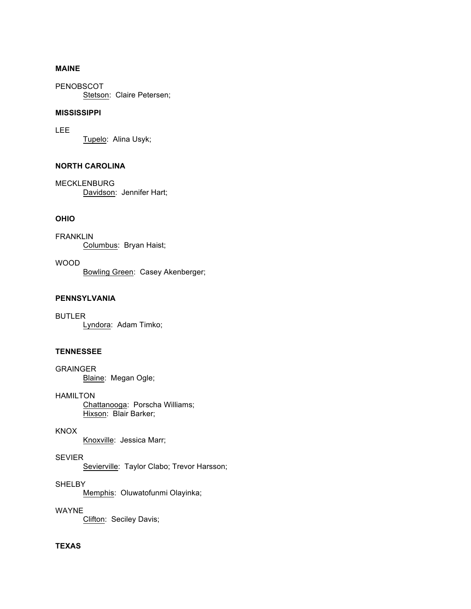# **MAINE**

PENOBSCOT Stetson: Claire Petersen;

# **MISSISSIPPI**

LEE Tupelo: Alina Usyk;

# **NORTH CAROLINA**

MECKLENBURG Davidson: Jennifer Hart;

# **OHIO**

FRANKLIN Columbus: Bryan Haist;

WOOD Bowling Green: Casey Akenberger;

# **PENNSYLVANIA**

BUTLER Lyndora: Adam Timko;

# **TENNESSEE**

GRAINGER Blaine: Megan Ogle;

HAMILTON Chattanooga: Porscha Williams; Hixson: Blair Barker;

KNOX

Knoxville: Jessica Marr;

SEVIER Sevierville: Taylor Clabo; Trevor Harsson;

**SHELBY** Memphis: Oluwatofunmi Olayinka;

WAYNE

Clifton: Seciley Davis;

# **TEXAS**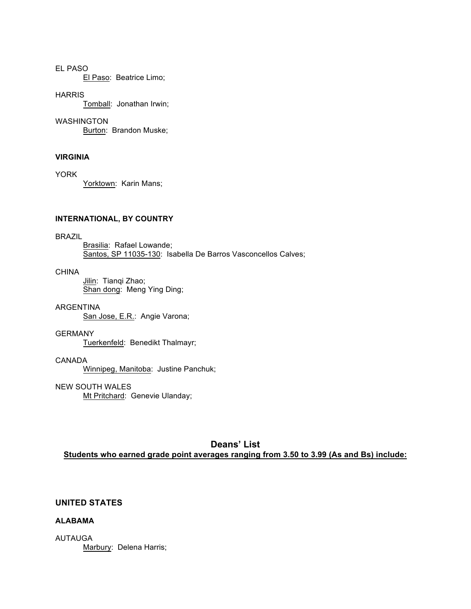# EL PASO

El Paso: Beatrice Limo;

### **HARRIS**

Tomball: Jonathan Irwin;

#### WASHINGTON

Burton: Brandon Muske;

# **VIRGINIA**

YORK

Yorktown: Karin Mans;

### **INTERNATIONAL, BY COUNTRY**

### BRAZIL

Brasilia: Rafael Lowande; Santos, SP 11035-130: Isabella De Barros Vasconcellos Calves;

### CHINA

Jilin: Tianqi Zhao; Shan dong: Meng Ying Ding;

#### ARGENTINA

San Jose, E.R.: Angie Varona;

#### GERMANY

Tuerkenfeld: Benedikt Thalmayr;

# CANADA

Winnipeg, Manitoba: Justine Panchuk;

# NEW SOUTH WALES

Mt Pritchard: Genevie Ulanday;

# **Deans' List Students who earned grade point averages ranging from 3.50 to 3.99 (As and Bs) include:**

# **UNITED STATES**

# **ALABAMA**

AUTAUGA Marbury: Delena Harris;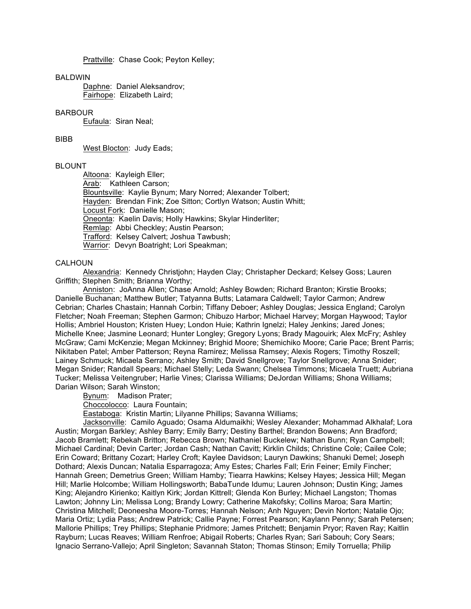Prattville: Chase Cook; Peyton Kelley;

#### BALDWIN

Daphne: Daniel Aleksandrov; Fairhope: Elizabeth Laird;

### BARBOUR

Eufaula: Siran Neal;

# BIBB

West Blocton: Judy Eads;

# BLOUNT

Altoona: Kayleigh Eller; Arab: Kathleen Carson; Blountsville: Kaylie Bynum; Mary Norred; Alexander Tolbert; Hayden: Brendan Fink; Zoe Sitton; Cortlyn Watson; Austin Whitt; Locust Fork: Danielle Mason; Oneonta: Kaelin Davis; Holly Hawkins; Skylar Hinderliter; Remlap: Abbi Checkley; Austin Pearson; Trafford: Kelsey Calvert; Joshua Tawbush; Warrior: Devyn Boatright; Lori Speakman;

#### CALHOUN

Alexandria: Kennedy Christjohn; Hayden Clay; Christapher Deckard; Kelsey Goss; Lauren Griffith; Stephen Smith; Brianna Worthy;

Anniston: JoAnna Allen; Chase Arnold; Ashley Bowden; Richard Branton; Kirstie Brooks; Danielle Buchanan; Matthew Butler; Tatyanna Butts; Latamara Caldwell; Taylor Carmon; Andrew Cebrian; Charles Chastain; Hannah Corbin; Tiffany Deboer; Ashley Douglas; Jessica England; Carolyn Fletcher; Noah Freeman; Stephen Garmon; Chibuzo Harbor; Michael Harvey; Morgan Haywood; Taylor Hollis; Ambriel Houston; Kristen Huey; London Huie; Kathrin Ignelzi; Haley Jenkins; Jared Jones; Michelle Knee; Jasmine Leonard; Hunter Longley; Gregory Lyons; Brady Magouirk; Alex McFry; Ashley McGraw; Cami McKenzie; Megan Mckinney; Brighid Moore; Shemichiko Moore; Carie Pace; Brent Parris; Nikitaben Patel; Amber Patterson; Reyna Ramirez; Melissa Ramsey; Alexis Rogers; Timothy Roszell; Lainey Schmuck; Micaela Serrano; Ashley Smith; David Snellgrove; Taylor Snellgrove; Anna Snider; Megan Snider; Randall Spears; Michael Stelly; Leda Swann; Chelsea Timmons; Micaela Truett; Aubriana Tucker; Melissa Veitengruber; Harlie Vines; Clarissa Williams; DeJordan Williams; Shona Williams; Darian Wilson; Sarah Winston;

Bynum: Madison Prater;

Choccolocco: Laura Fountain;

Eastaboga: Kristin Martin; Lilyanne Phillips; Savanna Williams;

Jacksonville: Camilo Aguado; Osama Aldumaikhi; Wesley Alexander; Mohammad Alkhalaf; Lora Austin; Morgan Barkley; Ashley Barry; Emily Barry; Destiny Barthel; Brandon Bowens; Ann Bradford; Jacob Bramlett; Rebekah Britton; Rebecca Brown; Nathaniel Buckelew; Nathan Bunn; Ryan Campbell; Michael Cardinal; Devin Carter; Jordan Cash; Nathan Cavitt; Kirklin Childs; Christine Cole; Cailee Cole; Erin Coward; Brittany Cozart; Harley Croft; Kaylee Davidson; Lauryn Dawkins; Shanuki Demel; Joseph Dothard; Alexis Duncan; Natalia Esparragoza; Amy Estes; Charles Fall; Erin Feiner; Emily Fincher; Hannah Green; Demetrius Green; William Hamby; Tiearra Hawkins; Kelsey Hayes; Jessica Hill; Megan Hill; Marlie Holcombe; William Hollingsworth; BabaTunde Idumu; Lauren Johnson; Dustin King; James King; Alejandro Kirienko; Kaitlyn Kirk; Jordan Kittrell; Glenda Kon Burley; Michael Langston; Thomas Lawton; Johnny Lin; Melissa Long; Brandy Lowry; Catherine Makofsky; Collins Maroa; Sara Martin; Christina Mitchell; Deoneesha Moore-Torres; Hannah Nelson; Anh Nguyen; Devin Norton; Natalie Ojo; Maria Ortiz; Lydia Pass; Andrew Patrick; Callie Payne; Forrest Pearson; Kaylann Penny; Sarah Petersen; Mallorie Phillips; Trey Phillips; Stephanie Pridmore; James Pritchett; Benjamin Pryor; Raven Ray; Kaitlin Rayburn; Lucas Reaves; William Renfroe; Abigail Roberts; Charles Ryan; Sari Sabouh; Cory Sears; Ignacio Serrano-Vallejo; April Singleton; Savannah Staton; Thomas Stinson; Emily Torruella; Philip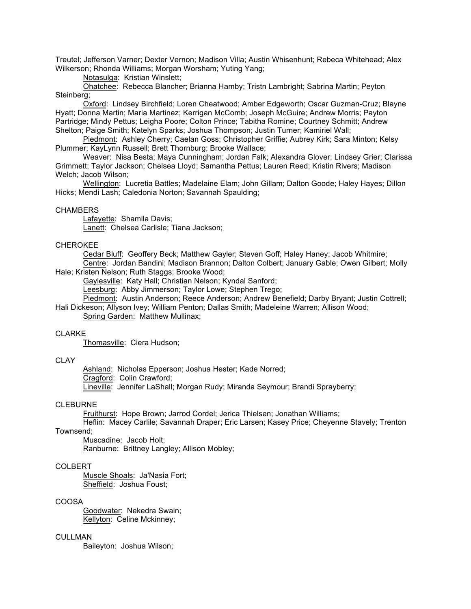Treutel; Jefferson Varner; Dexter Vernon; Madison Villa; Austin Whisenhunt; Rebeca Whitehead; Alex Wilkerson; Rhonda Williams; Morgan Worsham; Yuting Yang;

Notasulga: Kristian Winslett;

Ohatchee: Rebecca Blancher; Brianna Hamby; Tristn Lambright; Sabrina Martin; Peyton Steinberg;

Oxford: Lindsey Birchfield; Loren Cheatwood; Amber Edgeworth; Oscar Guzman-Cruz; Blayne Hyatt; Donna Martin; Maria Martinez; Kerrigan McComb; Joseph McGuire; Andrew Morris; Payton Partridge; Mindy Pettus; Leigha Poore; Colton Prince; Tabitha Romine; Courtney Schmitt; Andrew Shelton; Paige Smith; Katelyn Sparks; Joshua Thompson; Justin Turner; Kamiriel Wall;

Piedmont: Ashley Cherry; Caelan Goss; Christopher Griffie; Aubrey Kirk; Sara Minton; Kelsy Plummer; KayLynn Russell; Brett Thornburg; Brooke Wallace;

Weaver: Nisa Besta; Maya Cunningham; Jordan Falk; Alexandra Glover; Lindsey Grier; Clarissa Grimmett; Taylor Jackson; Chelsea Lloyd; Samantha Pettus; Lauren Reed; Kristin Rivers; Madison Welch; Jacob Wilson;

Wellington: Lucretia Battles; Madelaine Elam; John Gillam; Dalton Goode; Haley Hayes; Dillon Hicks; Mendi Lash; Caledonia Norton; Savannah Spaulding;

#### **CHAMBERS**

Lafayette: Shamila Davis; Lanett: Chelsea Carlisle; Tiana Jackson;

#### CHEROKEE

Cedar Bluff: Geoffery Beck; Matthew Gayler; Steven Goff; Haley Haney; Jacob Whitmire; Centre: Jordan Bandini; Madison Brannon; Dalton Colbert; January Gable; Owen Gilbert; Molly Hale; Kristen Nelson; Ruth Staggs; Brooke Wood;

Gaylesville: Katy Hall; Christian Nelson; Kyndal Sanford;

Leesburg: Abby Jimmerson; Taylor Lowe; Stephen Trego;

Piedmont: Austin Anderson; Reece Anderson; Andrew Benefield; Darby Bryant; Justin Cottrell;

Hali Dickeson; Allyson Ivey; William Penton; Dallas Smith; Madeleine Warren; Allison Wood;

Spring Garden: Matthew Mullinax;

### CLARKE

Thomasville: Ciera Hudson;

# CLAY

Ashland: Nicholas Epperson; Joshua Hester; Kade Norred; Cragford: Colin Crawford; Lineville: Jennifer LaShall; Morgan Rudy; Miranda Seymour; Brandi Sprayberry;

#### CLEBURNE

Fruithurst: Hope Brown; Jarrod Cordel; Jerica Thielsen; Jonathan Williams;

Heflin: Macey Carlile; Savannah Draper; Eric Larsen; Kasey Price; Cheyenne Stavely; Trenton Townsend;

Muscadine: Jacob Holt; Ranburne: Brittney Langley; Allison Mobley;

#### COLBERT

Muscle Shoals: Ja'Nasia Fort; Sheffield: Joshua Foust;

#### COOSA

Goodwater: Nekedra Swain; Kellyton: Celine Mckinney;

# **CULLMAN**

Baileyton: Joshua Wilson;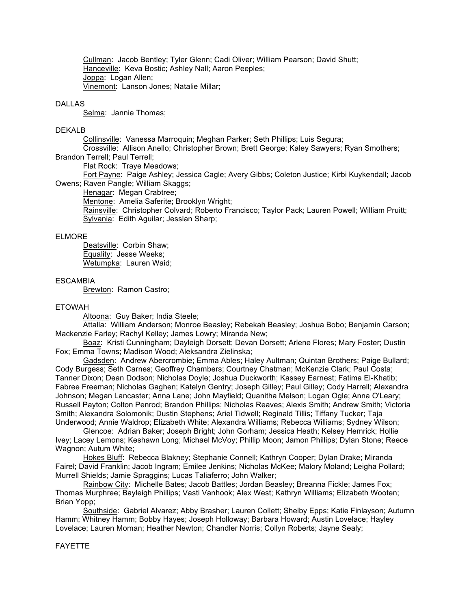Cullman: Jacob Bentley; Tyler Glenn; Cadi Oliver; William Pearson; David Shutt; Hanceville: Keva Bostic; Ashley Nall; Aaron Peeples; Joppa: Logan Allen; Vinemont: Lanson Jones; Natalie Millar;

#### DALLAS

Selma: Jannie Thomas;

#### DEKALB

Collinsville: Vanessa Marroquin; Meghan Parker; Seth Phillips; Luis Segura; Crossville: Allison Anello; Christopher Brown; Brett George; Kaley Sawyers; Ryan Smothers;

Brandon Terrell; Paul Terrell;

Flat Rock: Traye Meadows;

Fort Payne: Paige Ashley; Jessica Cagle; Avery Gibbs; Coleton Justice; Kirbi Kuykendall; Jacob Owens; Raven Pangle; William Skaggs;

Henagar: Megan Crabtree;

Mentone: Amelia Saferite; Brooklyn Wright;

Rainsville: Christopher Colvard; Roberto Francisco; Taylor Pack; Lauren Powell; William Pruitt; Sylvania: Edith Aguilar; Jesslan Sharp;

#### ELMORE

Deatsville: Corbin Shaw; Equality: Jesse Weeks; Wetumpka: Lauren Waid;

# **ESCAMBIA**

Brewton: Ramon Castro;

#### ETOWAH

Altoona: Guy Baker; India Steele;

Attalla: William Anderson; Monroe Beasley; Rebekah Beasley; Joshua Bobo; Benjamin Carson; Mackenzie Farley; Rachyl Kelley; James Lowry; Miranda New;

Boaz: Kristi Cunningham; Dayleigh Dorsett; Devan Dorsett; Arlene Flores; Mary Foster; Dustin Fox; Emma Towns; Madison Wood; Aleksandra Zielinska;

Gadsden: Andrew Abercrombie; Emma Ables; Haley Aultman; Quintan Brothers; Paige Bullard; Cody Burgess; Seth Carnes; Geoffrey Chambers; Courtney Chatman; McKenzie Clark; Paul Costa; Tanner Dixon; Dean Dodson; Nicholas Doyle; Joshua Duckworth; Kassey Earnest; Fatima El-Khatib; Fabree Freeman; Nicholas Gaghen; Katelyn Gentry; Joseph Gilley; Paul Gilley; Cody Harrell; Alexandra Johnson; Megan Lancaster; Anna Lane; John Mayfield; Quanitha Melson; Logan Ogle; Anna O'Leary; Russell Payton; Colton Penrod; Brandon Phillips; Nicholas Reaves; Alexis Smith; Andrew Smith; Victoria Smith; Alexandra Solomonik; Dustin Stephens; Ariel Tidwell; Reginald Tillis; Tiffany Tucker; Taja Underwood; Annie Waldrop; Elizabeth White; Alexandra Williams; Rebecca Williams; Sydney Wilson;

Glencoe: Adrian Baker; Joseph Bright; John Gorham; Jessica Heath; Kelsey Hemrick; Hollie Ivey; Lacey Lemons; Keshawn Long; Michael McVoy; Phillip Moon; Jamon Phillips; Dylan Stone; Reece Wagnon; Autum White;

Hokes Bluff: Rebecca Blakney; Stephanie Connell; Kathryn Cooper; Dylan Drake; Miranda Fairel; David Franklin; Jacob Ingram; Emilee Jenkins; Nicholas McKee; Malory Moland; Leigha Pollard; Murrell Shields; Jamie Spraggins; Lucas Taliaferro; John Walker;

Rainbow City: Michelle Bates; Jacob Battles; Jordan Beasley; Breanna Fickle; James Fox; Thomas Murphree; Bayleigh Phillips; Vasti Vanhook; Alex West; Kathryn Williams; Elizabeth Wooten; Brian Yopp;

Southside: Gabriel Alvarez; Abby Brasher; Lauren Collett; Shelby Epps; Katie Finlayson; Autumn Hamm; Whitney Hamm; Bobby Hayes; Joseph Holloway; Barbara Howard; Austin Lovelace; Hayley Lovelace; Lauren Moman; Heather Newton; Chandler Norris; Collyn Roberts; Jayne Sealy;

# FAYETTE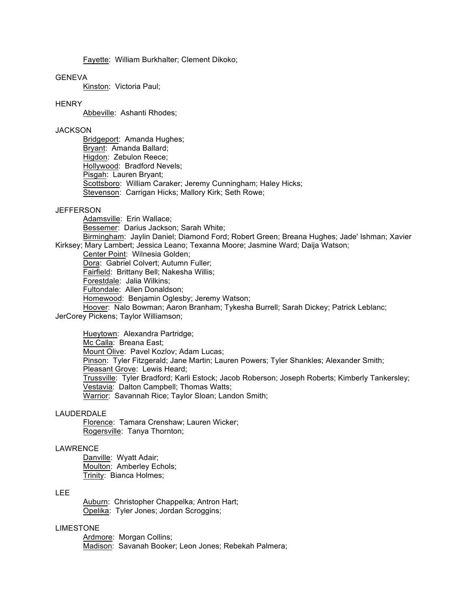Fayette: William Burkhalter; Clement Dikoko;

#### **GENEVA**

Kinston: Victoria Paul;

#### **HENRY**

Abbeville: Ashanti Rhodes;

## **JACKSON**

Bridgeport: Amanda Hughes; Bryant: Amanda Ballard; Higdon: Zebulon Reece; Hollywood: Bradford Nevels; Pisgah: Lauren Bryant; Scottsboro: William Caraker; Jeremy Cunningham; Haley Hicks; Stevenson: Carrigan Hicks; Mallory Kirk; Seth Rowe;

#### **JEFFERSON**

Adamsville: Erin Wallace; Bessemer: Darius Jackson; Sarah White; Birmingham: Jaylin Daniel; Diamond Ford; Robert Green; Breana Hughes; Jade' Ishman; Xavier Kirksey; Mary Lambert; Jessica Leano; Texanna Moore; Jasmine Ward; Daija Watson; Center Point: Wilnesia Golden;

Dora: Gabriel Colvert; Autumn Fuller;

Fairfield: Brittany Bell; Nakesha Willis;

Forestdale: Jalia Wilkins;

Fultondale: Allen Donaldson;

Homewood: Benjamin Oglesby; Jeremy Watson;

Hoover: Nalo Bowman; Aaron Branham; Tykesha Burrell; Sarah Dickey; Patrick Leblanc; JerCorey Pickens; Taylor Williamson;

Hueytown: Alexandra Partridge; Mc Calla: Breana East; Mount Olive: Pavel Kozlov; Adam Lucas; Pinson: Tyler Fitzgerald; Jane Martin; Lauren Powers; Tyler Shankles; Alexander Smith; Pleasant Grove: Lewis Heard; Trussville: Tyler Bradford; Karli Estock; Jacob Roberson; Joseph Roberts; Kimberly Tankersley; Vestavia: Dalton Campbell; Thomas Watts; Warrior: Savannah Rice; Taylor Sloan; Landon Smith;

#### LAUDERDALE

Florence: Tamara Crenshaw; Lauren Wicker; Rogersville: Tanya Thornton;

#### LAWRENCE

Danville: Wyatt Adair; Moulton: Amberley Echols; Trinity: Bianca Holmes;

# LEE

Auburn: Christopher Chappelka; Antron Hart; Opelika: Tyler Jones; Jordan Scroggins;

# LIMESTONE

Ardmore: Morgan Collins; Madison: Savanah Booker; Leon Jones; Rebekah Palmera;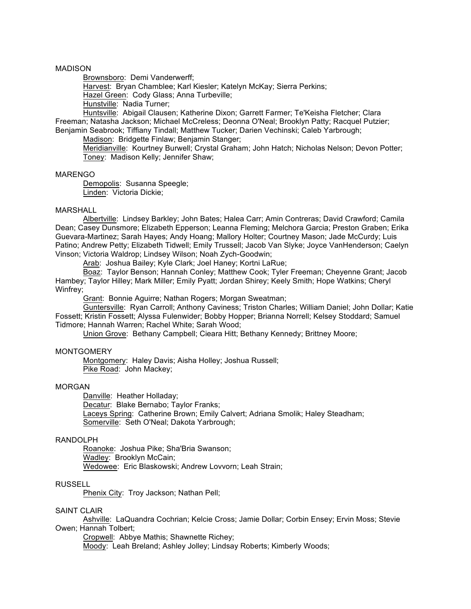#### MADISON

Brownsboro: Demi Vanderwerff;

Harvest: Bryan Chamblee; Karl Kiesler; Katelyn McKay; Sierra Perkins;

Hazel Green: Cody Glass; Anna Turbeville;

Hunstville: Nadia Turner;

Huntsville: Abigail Clausen; Katherine Dixon; Garrett Farmer; Te'Keisha Fletcher; Clara Freeman; Natasha Jackson; Michael McCreless; Deonna O'Neal; Brooklyn Patty; Racquel Putzier; Benjamin Seabrook; Tiffiany Tindall; Matthew Tucker; Darien Vechinski; Caleb Yarbrough;

Madison: Bridgette Finlaw; Benjamin Stanger;

Meridianville: Kourtney Burwell; Crystal Graham; John Hatch; Nicholas Nelson; Devon Potter; Toney: Madison Kelly; Jennifer Shaw;

#### MARENGO

Demopolis: Susanna Speegle; Linden: Victoria Dickie;

#### MARSHALL

Albertville: Lindsey Barkley; John Bates; Halea Carr; Amin Contreras; David Crawford; Camila Dean; Casey Dunsmore; Elizabeth Epperson; Leanna Fleming; Melchora Garcia; Preston Graben; Erika Guevara-Martinez; Sarah Hayes; Andy Hoang; Mallory Holter; Courtney Mason; Jade McCurdy; Luis Patino; Andrew Petty; Elizabeth Tidwell; Emily Trussell; Jacob Van Slyke; Joyce VanHenderson; Caelyn Vinson; Victoria Waldrop; Lindsey Wilson; Noah Zych-Goodwin;

Arab: Joshua Bailey; Kyle Clark; Joel Haney; Kortni LaRue;

Boaz: Taylor Benson; Hannah Conley; Matthew Cook; Tyler Freeman; Cheyenne Grant; Jacob Hambey; Taylor Hilley; Mark Miller; Emily Pyatt; Jordan Shirey; Keely Smith; Hope Watkins; Cheryl Winfrey;

Grant: Bonnie Aguirre; Nathan Rogers; Morgan Sweatman;

Guntersville: Ryan Carroll; Anthony Caviness; Triston Charles; William Daniel; John Dollar; Katie Fossett; Kristin Fossett; Alyssa Fulenwider; Bobby Hopper; Brianna Norrell; Kelsey Stoddard; Samuel Tidmore; Hannah Warren; Rachel White; Sarah Wood;

Union Grove: Bethany Campbell; Cieara Hitt; Bethany Kennedy; Brittney Moore;

### **MONTGOMERY**

Montgomery: Haley Davis; Aisha Holley; Joshua Russell; Pike Road: John Mackey;

#### MORGAN

Danville: Heather Holladay;

Decatur: Blake Bernabo; Taylor Franks; Laceys Spring: Catherine Brown; Emily Calvert; Adriana Smolik; Haley Steadham; Somerville: Seth O'Neal; Dakota Yarbrough;

# RANDOLPH

Roanoke: Joshua Pike; Sha'Bria Swanson; Wadley: Brooklyn McCain; Wedowee: Eric Blaskowski; Andrew Lovvorn; Leah Strain;

### RUSSELL

Phenix City: Troy Jackson; Nathan Pell;

#### SAINT CLAIR

Ashville: LaQuandra Cochrian; Kelcie Cross; Jamie Dollar; Corbin Ensey; Ervin Moss; Stevie Owen; Hannah Tolbert;

Cropwell: Abbye Mathis; Shawnette Richey; Moody: Leah Breland; Ashley Jolley; Lindsay Roberts; Kimberly Woods;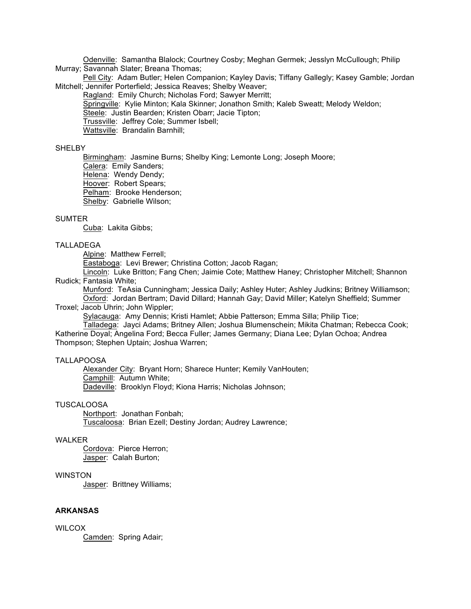Odenville: Samantha Blalock; Courtney Cosby; Meghan Germek; Jesslyn McCullough; Philip Murray; Savannah Slater; Breana Thomas;

Pell City: Adam Butler; Helen Companion; Kayley Davis; Tiffany Gallegly; Kasey Gamble; Jordan Mitchell; Jennifer Porterfield; Jessica Reaves; Shelby Weaver;

Ragland: Emily Church; Nicholas Ford; Sawyer Merritt; Springville: Kylie Minton; Kala Skinner; Jonathon Smith; Kaleb Sweatt; Melody Weldon; Steele: Justin Bearden; Kristen Obarr; Jacie Tipton; Trussville: Jeffrey Cole; Summer Isbell; Wattsville: Brandalin Barnhill;

### **SHELBY**

Birmingham: Jasmine Burns; Shelby King; Lemonte Long; Joseph Moore; Calera: Emily Sanders;

Helena: Wendy Dendy;

Hoover: Robert Spears;

Pelham: Brooke Henderson;

Shelby: Gabrielle Wilson;

#### SUMTER

Cuba: Lakita Gibbs;

## TALLADEGA

Alpine: Matthew Ferrell;

Eastaboga: Levi Brewer; Christina Cotton; Jacob Ragan;

Lincoln: Luke Britton; Fang Chen; Jaimie Cote; Matthew Haney; Christopher Mitchell; Shannon Rudick; Fantasia White;

Munford: TeAsia Cunningham; Jessica Daily; Ashley Huter; Ashley Judkins; Britney Williamson; Oxford: Jordan Bertram; David Dillard; Hannah Gay; David Miller; Katelyn Sheffield; Summer Troxel; Jacob Uhrin; John Wippler;

Sylacauga: Amy Dennis; Kristi Hamlet; Abbie Patterson; Emma Silla; Philip Tice;

Talladega: Jayci Adams; Britney Allen; Joshua Blumenschein; Mikita Chatman; Rebecca Cook; Katherine Doyal; Angelina Ford; Becca Fuller; James Germany; Diana Lee; Dylan Ochoa; Andrea

Thompson; Stephen Uptain; Joshua Warren;

# TALLAPOOSA

Alexander City: Bryant Horn; Sharece Hunter; Kemily VanHouten; Camphill: Autumn White; Dadeville: Brooklyn Floyd; Kiona Harris; Nicholas Johnson;

#### TUSCALOOSA

Northport: Jonathan Fonbah; Tuscaloosa: Brian Ezell; Destiny Jordan; Audrey Lawrence;

# WAI KFR

Cordova: Pierce Herron; Jasper: Calah Burton;

#### WINSTON

Jasper: Brittney Williams;

## **ARKANSAS**

**WILCOX** Camden: Spring Adair;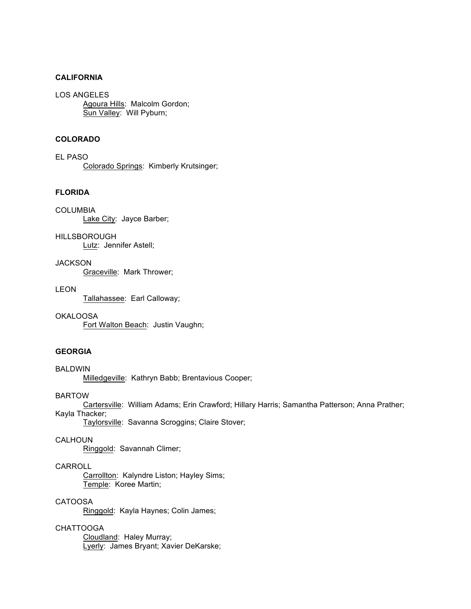# **CALIFORNIA**

LOS ANGELES Agoura Hills: Malcolm Gordon; Sun Valley: Will Pyburn;

# **COLORADO**

EL PASO Colorado Springs: Kimberly Krutsinger;

# **FLORIDA**

COLUMBIA Lake City: Jayce Barber;

HILLSBOROUGH Lutz: Jennifer Astell;

**JACKSON** Graceville: Mark Thrower;

# LEON

Tallahassee: Earl Calloway;

OKALOOSA

Fort Walton Beach: Justin Vaughn;

# **GEORGIA**

BALDWIN

Milledgeville: Kathryn Babb; Brentavious Cooper;

BARTOW

Cartersville: William Adams; Erin Crawford; Hillary Harris; Samantha Patterson; Anna Prather; Kayla Thacker;

Taylorsville: Savanna Scroggins; Claire Stover;

# CALHOUN

Ringgold: Savannah Climer;

# CARROLL

Carrollton: Kalyndre Liston; Hayley Sims; Temple: Koree Martin;

# CATOOSA

Ringgold: Kayla Haynes; Colin James;

# CHATTOOGA

Cloudland: Haley Murray; Lyerly: James Bryant; Xavier DeKarske;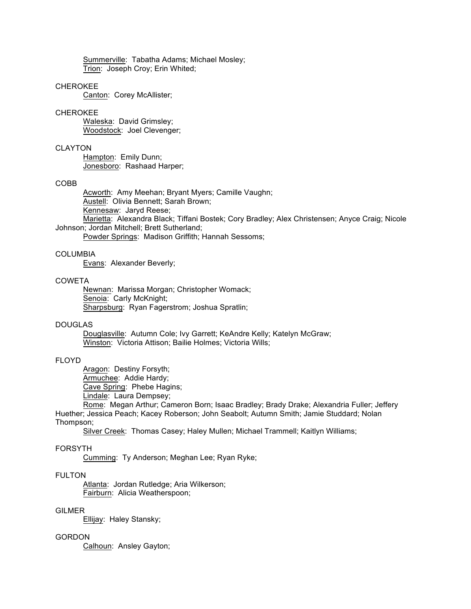Summerville: Tabatha Adams; Michael Mosley; Trion: Joseph Croy; Erin Whited;

# CHEROKEE

Canton: Corey McAllister;

#### CHEROKEE

Waleska: David Grimsley; Woodstock: Joel Clevenger;

# CLAYTON

Hampton: Emily Dunn; Jonesboro: Rashaad Harper;

### COBB

Acworth: Amy Meehan; Bryant Myers; Camille Vaughn; Austell: Olivia Bennett; Sarah Brown; Kennesaw: Jaryd Reese;

Marietta: Alexandra Black; Tiffani Bostek; Cory Bradley; Alex Christensen; Anyce Craig; Nicole Johnson; Jordan Mitchell; Brett Sutherland;

Powder Springs: Madison Griffith; Hannah Sessoms;

# COLUMBIA

Evans: Alexander Beverly;

# COWETA

Newnan: Marissa Morgan; Christopher Womack; Senoia: Carly McKnight; Sharpsburg: Ryan Fagerstrom; Joshua Spratlin;

### DOUGLAS

Douglasville: Autumn Cole; Ivy Garrett; KeAndre Kelly; Katelyn McGraw; Winston: Victoria Attison; Bailie Holmes; Victoria Wills;

# FLOYD

Aragon: Destiny Forsyth;

Armuchee: Addie Hardy;

Cave Spring: Phebe Hagins;

Lindale: Laura Dempsey;

Rome: Megan Arthur; Cameron Born; Isaac Bradley; Brady Drake; Alexandria Fuller; Jeffery Huether; Jessica Peach; Kacey Roberson; John Seabolt; Autumn Smith; Jamie Studdard; Nolan Thompson;

Silver Creek: Thomas Casey; Haley Mullen; Michael Trammell; Kaitlyn Williams;

#### FORSYTH

Cumming: Ty Anderson; Meghan Lee; Ryan Ryke;

### FULTON

Atlanta: Jordan Rutledge; Aria Wilkerson; Fairburn: Alicia Weatherspoon;

# GILMER

Ellijay: Haley Stansky;

# **GORDON**

Calhoun: Ansley Gayton;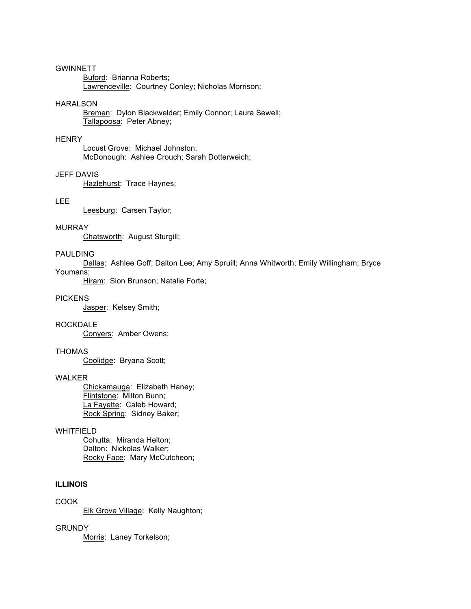# **GWINNETT**

Buford: Brianna Roberts; Lawrenceville: Courtney Conley; Nicholas Morrison;

#### HARALSON

Bremen: Dylon Blackwelder; Emily Connor; Laura Sewell; Tallapoosa: Peter Abney;

# **HENRY**

Locust Grove: Michael Johnston; McDonough: Ashlee Crouch; Sarah Dotterweich;

# JEFF DAVIS

Hazlehurst: Trace Haynes;

## LEE

Leesburg: Carsen Taylor;

#### MURRAY

Chatsworth: August Sturgill;

# PAULDING

Dallas: Ashlee Goff; Dalton Lee; Amy Spruill; Anna Whitworth; Emily Willingham; Bryce

# Youmans;

Hiram: Sion Brunson; Natalie Forte;

### **PICKENS**

Jasper: Kelsey Smith;

#### ROCKDALE

Conyers: Amber Owens;

# THOMAS

Coolidge: Bryana Scott;

# WALKER

Chickamauga: Elizabeth Haney; Flintstone: Milton Bunn; La Fayette: Caleb Howard; Rock Spring: Sidney Baker;

# WHITFIELD

Cohutta: Miranda Helton; Dalton: Nickolas Walker; Rocky Face: Mary McCutcheon;

# **ILLINOIS**

# COOK

Elk Grove Village: Kelly Naughton;

# **GRUNDY**

Morris: Laney Torkelson;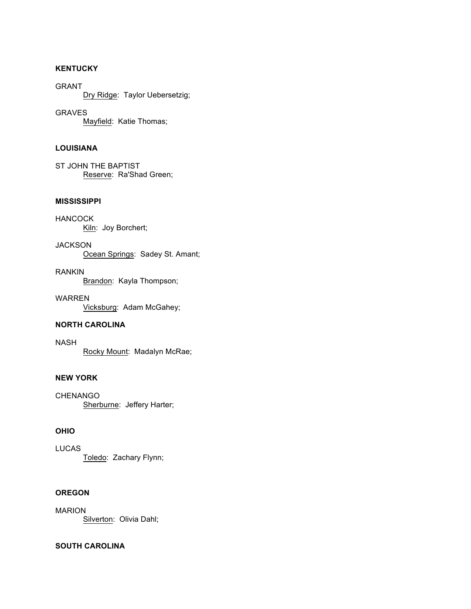# **KENTUCKY**

GRANT Dry Ridge: Taylor Uebersetzig;

GRAVES Mayfield: Katie Thomas;

# **LOUISIANA**

ST JOHN THE BAPTIST Reserve: Ra'Shad Green;

# **MISSISSIPPI**

HANCOCK Kiln: Joy Borchert;

**JACKSON** Ocean Springs: Sadey St. Amant;

RANKIN Brandon: Kayla Thompson;

WARREN Vicksburg: Adam McGahey;

# **NORTH CAROLINA**

NASH Rocky Mount: Madalyn McRae;

# **NEW YORK**

**CHENANGO** Sherburne: Jeffery Harter;

# **OHIO**

LUCAS Toledo: Zachary Flynn;

# **OREGON**

MARION Silverton: Olivia Dahl;

# **SOUTH CAROLINA**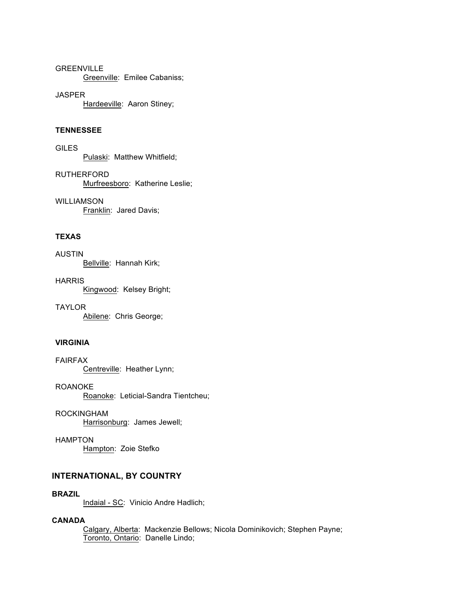# GREENVILLE

Greenville: Emilee Cabaniss;

# JASPER

Hardeeville: Aaron Stiney;

### **TENNESSEE**

**GILES** Pulaski: Matthew Whitfield;

RUTHERFORD Murfreesboro: Katherine Leslie;

WILLIAMSON Franklin: Jared Davis;

# **TEXAS**

AUSTIN Bellville: Hannah Kirk;

**HARRIS** Kingwood: Kelsey Bright;

TAYLOR Abilene: Chris George;

# **VIRGINIA**

FAIRFAX Centreville: Heather Lynn;

ROANOKE Roanoke: Leticial-Sandra Tientcheu;

ROCKINGHAM Harrisonburg: James Jewell;

HAMPTON Hampton: Zoie Stefko

# **INTERNATIONAL, BY COUNTRY**

#### **BRAZIL**

Indaial - SC: Vinicio Andre Hadlich;

# **CANADA**

Calgary, Alberta: Mackenzie Bellows; Nicola Dominikovich; Stephen Payne; Toronto, Ontario: Danelle Lindo;